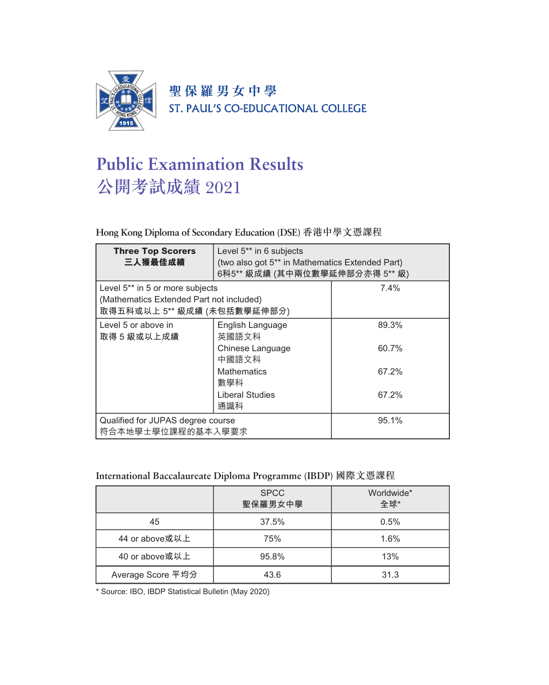

聖保羅男女中學 ST. PAUL'S CO-EDUCATIONAL COLLEGE

# **Public Examination Results** 公開考試成績 2021

#### **Hong Kong Diploma of Secondary Education (DSE)** 香港中學文憑課程

| <b>Three Top Scorers</b><br>三人獲最佳成績                                                                                    | Level 5** in 6 subjects<br>(two also got 5 <sup>**</sup> in Mathematics Extended Part)<br>6科5** 級成績 (其中兩位數學延伸部分亦得 5** 級) |       |
|------------------------------------------------------------------------------------------------------------------------|--------------------------------------------------------------------------------------------------------------------------|-------|
| Level 5 <sup>**</sup> in 5 or more subjects<br>(Mathematics Extended Part not included)<br>取得五科或以上 5** 級成績 (未包括數學延伸部分) |                                                                                                                          | 7.4%  |
| Level 5 or above in<br>取得 5 級或以上成績                                                                                     | English Language<br>英國語文科                                                                                                | 89.3% |
|                                                                                                                        | Chinese Language<br>中國語文科                                                                                                | 60.7% |
|                                                                                                                        | <b>Mathematics</b><br>數學科                                                                                                | 67.2% |
|                                                                                                                        | Liberal Studies<br>通識科                                                                                                   | 67.2% |
| Qualified for JUPAS degree course<br>符合本地學士學位課程的基本入學要求                                                                 |                                                                                                                          | 95.1% |

#### **International Baccalaureate Diploma Programme (IBDP)** 國際文憑課程

|                   | <b>SPCC</b><br>聖保羅男女中學 | Worldwide*<br>全球* |
|-------------------|------------------------|-------------------|
| 45                | 37.5%                  | 0.5%              |
| 44 or above或以上    | 75%                    | 1.6%              |
| 40 or above或以上    | 95.8%                  | 13%               |
| Average Score 平均分 | 43.6                   | 31.3              |

\* Source: IBO, IBDP Statistical Bulletin (May 2020)